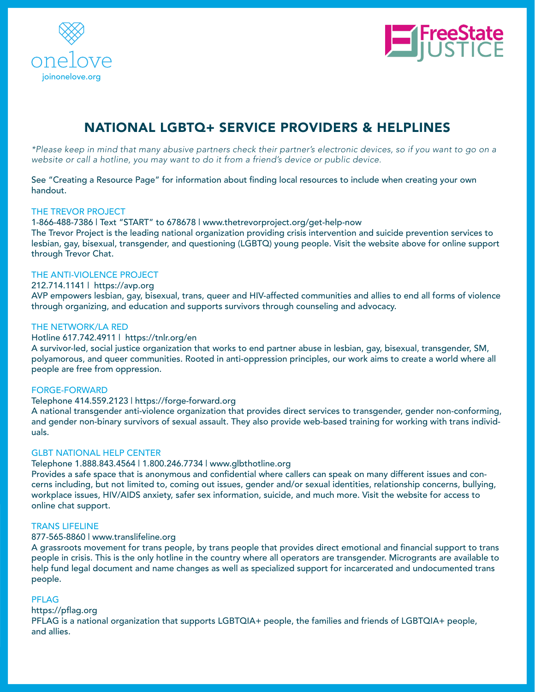



# NATIONAL LGBTQ+ SERVICE PROVIDERS & HELPLINES

\*Please keep in mind that many abusive partners check their partner's electronic devices, so if you want to go on a website or call a hotline, you may want to do it from a friend's device or public device.

See "Creating a Resource Page" for information about fnding local resources to include when creating your own handout.

## THE TREVOR PROJECT

1-866-488-7386 | Text "START" to 678678 | www.thetrevorproject.org/get-help-now

The Trevor Project is the leading national organization providing crisis intervention and suicide prevention services to lesbian, gay, bisexual, transgender, and questioning (LGBTQ) young people. Visit the website above for online support through Trevor Chat.

## THE ANTI-VIOLENCE PROJECT

# 212.714.1141 | https://avp.org

AVP empowers lesbian, gay, bisexual, trans, queer and HIV-affected communities and allies to end all forms of violence through organizing, and education and supports survivors through counseling and advocacy.

## THE NETWORK/LA RED

## Hotline 617.742.4911 | https://tnlr.org/en

A survivor-led, social justice organization that works to end partner abuse in lesbian, gay, bisexual, transgender, SM, polyamorous, and queer communities. Rooted in anti-oppression principles, our work aims to create a world where all people are free from oppression.

#### FORGE-FORWARD

#### Telephone 414.559.2123 | https://forge-forward.org

A national transgender anti-violence organization that provides direct services to transgender, gender non-conforming, and gender non-binary survivors of sexual assault. They also provide web-based training for working with trans individuals.

## GLBT NATIONAL HELP CENTER

#### Telephone 1.888.843.4564 | 1.800.246.7734 | www.glbthotline.org

Provides a safe space that is anonymous and confidential where callers can speak on many different issues and concerns including, but not limited to, coming out issues, gender and/or sexual identities, relationship concerns, bullying, workplace issues, HIV/AIDS anxiety, safer sex information, suicide, and much more. Visit the website for access to online chat support.

## TRANS LIFELINE

#### 877-565-8860 | www.translifeline.org

A grassroots movement for trans people, by trans people that provides direct emotional and fnancial support to trans people in crisis. This is the only hotline in the country where all operators are transgender. Microgrants are available to help fund legal document and name changes as well as specialized support for incarcerated and undocumented trans people.

#### PFLAG

## https://pflag.org

PFLAG is a national organization that supports LGBTQIA+ people, the families and friends of LGBTQIA+ people, and allies.